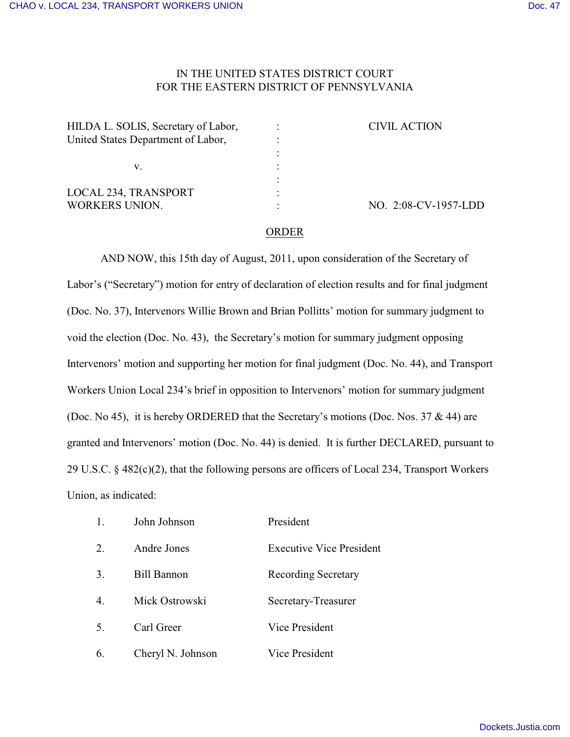## IN THE UNITED STATES DISTRICT COURT FOR THE EASTERN DISTRICT OF PENNSYLVANIA

| HILDA L. SOLIS, Secretary of Labor, | <b>CIVIL ACTION</b>  |
|-------------------------------------|----------------------|
| United States Department of Labor,  |                      |
|                                     |                      |
| V.                                  |                      |
|                                     |                      |
| LOCAL 234, TRANSPORT                |                      |
| <b>WORKERS UNION.</b>               | NO. 2:08-CV-1957-LDD |

## ORDER

AND NOW, this 15th day of August, 2011, upon consideration of the Secretary of Labor's ("Secretary") motion for entry of declaration of election results and for final judgment (Doc. No. 37), Intervenors Willie Brown and Brian Pollitts' motion for summary judgment to void the election (Doc. No. 43), the Secretary's motion for summary judgment opposing Intervenors' motion and supporting her motion for final judgment (Doc. No. 44), and Transport Workers Union Local 234's brief in opposition to Intervenors' motion for summary judgment (Doc. No 45), it is hereby ORDERED that the Secretary's motions (Doc. Nos. 37 & 44) are granted and Intervenors' motion (Doc. No. 44) is denied. It is further DECLARED, pursuant to 29 U.S.C. § 482(c)(2), that the following persons are officers of Local 234, Transport Workers Union, as indicated:

|                  | John Johnson       | President                       |
|------------------|--------------------|---------------------------------|
| 2.               | Andre Jones        | <b>Executive Vice President</b> |
| 3.               | <b>Bill Bannon</b> | <b>Recording Secretary</b>      |
| $\overline{4}$ . | Mick Ostrowski     | Secretary-Treasurer             |
| 5.               | Carl Greer         | Vice President                  |
| 6.               | Cheryl N. Johnson  | Vice President                  |